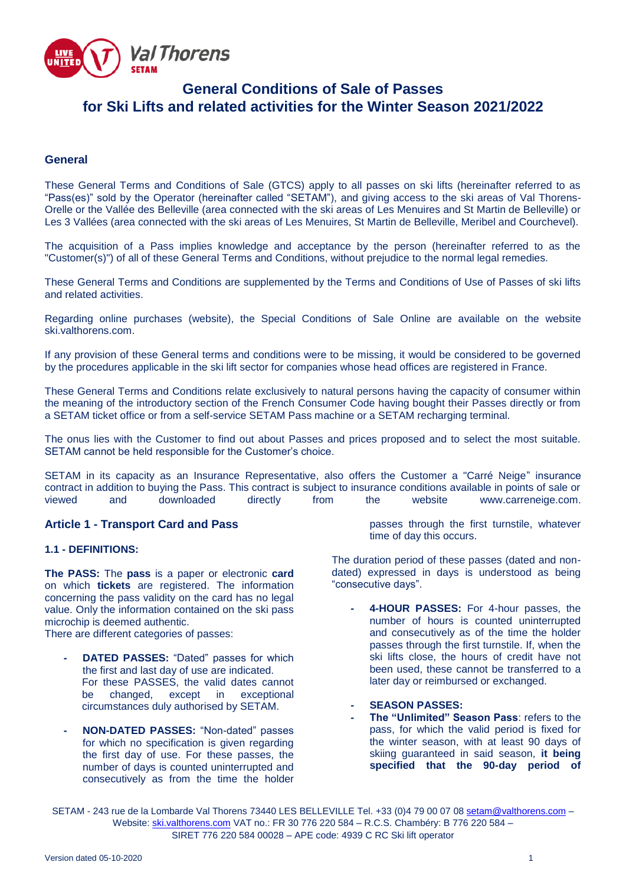Val Thorens UNITEI

# **General Conditions of Sale of Passes for Ski Lifts and related activities for the Winter Season 2021/2022**

## **General**

These General Terms and Conditions of Sale (GTCS) apply to all passes on ski lifts (hereinafter referred to as "Pass(es)" sold by the Operator (hereinafter called "SETAM"), and giving access to the ski areas of Val Thorens-Orelle or the Vallée des Belleville (area connected with the ski areas of Les Menuires and St Martin de Belleville) or Les 3 Vallées (area connected with the ski areas of Les Menuires, St Martin de Belleville, Meribel and Courchevel).

The acquisition of a Pass implies knowledge and acceptance by the person (hereinafter referred to as the "Customer(s)") of all of these General Terms and Conditions, without prejudice to the normal legal remedies.

These General Terms and Conditions are supplemented by the Terms and Conditions of Use of Passes of ski lifts and related activities.

Regarding online purchases (website), the Special Conditions of Sale Online are available on the website ski valthorens.com

If any provision of these General terms and conditions were to be missing, it would be considered to be governed by the procedures applicable in the ski lift sector for companies whose head offices are registered in France.

These General Terms and Conditions relate exclusively to natural persons having the capacity of consumer within the meaning of the introductory section of the French Consumer Code having bought their Passes directly or from a SETAM ticket office or from a self-service SETAM Pass machine or a SETAM recharging terminal.

The onus lies with the Customer to find out about Passes and prices proposed and to select the most suitable. SETAM cannot be held responsible for the Customer's choice.

SETAM in its capacity as an Insurance Representative, also offers the Customer a "Carré Neige" insurance contract in addition to buying the Pass. This contract is subject to insurance conditions available in points of sale or<br>viewed and downloaded directly from the website www.carreneige.com. [www.carreneige.com.](http://www.carreneige.com/)

## **Article 1 - Transport Card and Pass**

#### **1.1 - DEFINITIONS:**

**The PASS:** The **pass** is a paper or electronic **card** on which **tickets** are registered. The information concerning the pass validity on the card has no legal value. Only the information contained on the ski pass microchip is deemed authentic.

There are different categories of passes:

- **DATED PASSES:** "Dated" passes for which the first and last day of use are indicated. For these PASSES, the valid dates cannot be changed, except in exceptional circumstances duly authorised by SETAM.
- **- NON-DATED PASSES:** "Non-dated" passes for which no specification is given regarding the first day of use. For these passes, the number of days is counted uninterrupted and consecutively as from the time the holder

passes through the first turnstile, whatever time of day this occurs.

The duration period of these passes (dated and nondated) expressed in days is understood as being "consecutive days".

- **- 4-HOUR PASSES:** For 4-hour passes, the number of hours is counted uninterrupted and consecutively as of the time the holder passes through the first turnstile. If, when the ski lifts close, the hours of credit have not been used, these cannot be transferred to a later day or reimbursed or exchanged.
- **- SEASON PASSES:**
- **- The "Unlimited" Season Pass**: refers to the pass, for which the valid period is fixed for the winter season, with at least 90 days of skiing guaranteed in said season, **it being specified that the 90-day period of**

SETAM - 243 rue de la Lombarde Val Thorens 73440 LES BELLEVILLE Tel. +33 (0)4 79 00 07 0[8 setam@valthorens.com](mailto:setam@valthorens.com) – Website: [ski.valthorens.com](http://www.valthorens.com/) VAT no.: FR 30 776 220 584 – R.C.S. Chambéry: B 776 220 584 – SIRET 776 220 584 00028 – APE code: 4939 C RC Ski lift operator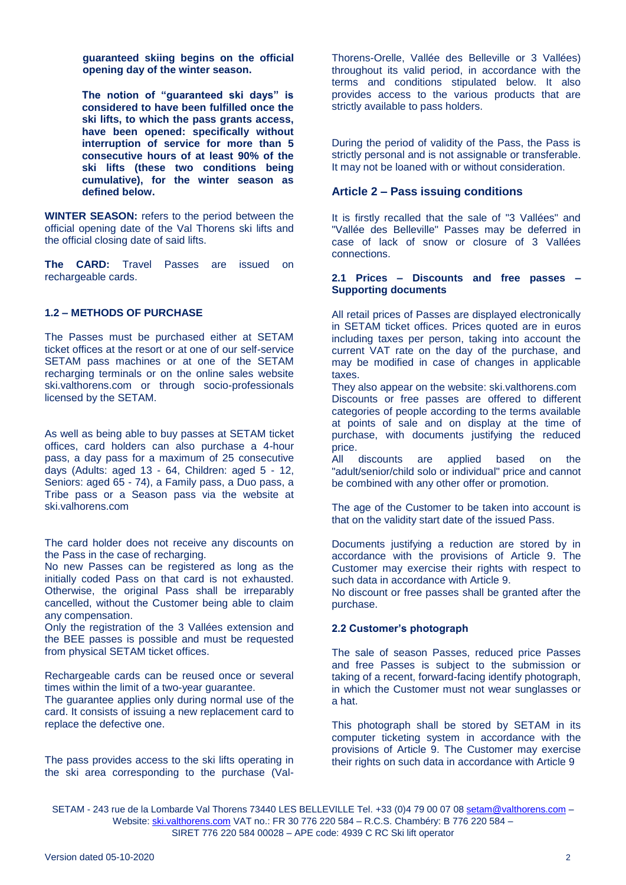**guaranteed skiing begins on the official opening day of the winter season.**

**The notion of "guaranteed ski days" is considered to have been fulfilled once the ski lifts, to which the pass grants access, have been opened: specifically without interruption of service for more than 5 consecutive hours of at least 90% of the ski lifts (these two conditions being cumulative), for the winter season as defined below.**

**WINTER SEASON:** refers to the period between the official opening date of the Val Thorens ski lifts and the official closing date of said lifts.

**The CARD:** Travel Passes are issued on rechargeable cards.

#### **1.2 – METHODS OF PURCHASE**

The Passes must be purchased either at SETAM ticket offices at the resort or at one of our self-service SETAM pass machines or at one of the SETAM recharging terminals or on the online sales website ski.valthorens.com or through socio-professionals licensed by the SETAM.

As well as being able to buy passes at SETAM ticket offices, card holders can also purchase a 4-hour pass, a day pass for a maximum of 25 consecutive days (Adults: aged 13 - 64, Children: aged 5 - 12, Seniors: aged 65 - 74), a Family pass, a Duo pass, a Tribe pass or a Season pass via the website at ski.valhorens.com

The card holder does not receive any discounts on the Pass in the case of recharging.

No new Passes can be registered as long as the initially coded Pass on that card is not exhausted. Otherwise, the original Pass shall be irreparably cancelled, without the Customer being able to claim any compensation.

Only the registration of the 3 Vallées extension and the BEE passes is possible and must be requested from physical SETAM ticket offices.

Rechargeable cards can be reused once or several times within the limit of a two-year guarantee.

The guarantee applies only during normal use of the card. It consists of issuing a new replacement card to replace the defective one.

The pass provides access to the ski lifts operating in the ski area corresponding to the purchase (ValThorens-Orelle, Vallée des Belleville or 3 Vallées) throughout its valid period, in accordance with the terms and conditions stipulated below. It also provides access to the various products that are strictly available to pass holders.

During the period of validity of the Pass, the Pass is strictly personal and is not assignable or transferable. It may not be loaned with or without consideration.

#### **Article 2 – Pass issuing conditions**

It is firstly recalled that the sale of "3 Vallées" and "Vallée des Belleville" Passes may be deferred in case of lack of snow or closure of 3 Vallées connections.

#### **2.1 Prices – Discounts and free passes – Supporting documents**

All retail prices of Passes are displayed electronically in SETAM ticket offices. Prices quoted are in euros including taxes per person, taking into account the current VAT rate on the day of the purchase, and may be modified in case of changes in applicable taxes.

They also appear on the website: ski.valthorens.com Discounts or free passes are offered to different categories of people according to the terms available at points of sale and on display at the time of purchase, with documents justifying the reduced price.

All discounts are applied based on the "adult/senior/child solo or individual" price and cannot be combined with any other offer or promotion.

The age of the Customer to be taken into account is that on the validity start date of the issued Pass.

Documents justifying a reduction are stored by in accordance with the provisions of Article 9. The Customer may exercise their rights with respect to such data in accordance with Article 9.

No discount or free passes shall be granted after the purchase.

#### **2.2 Customer's photograph**

The sale of season Passes, reduced price Passes and free Passes is subject to the submission or taking of a recent, forward-facing identify photograph, in which the Customer must not wear sunglasses or a hat.

This photograph shall be stored by SETAM in its computer ticketing system in accordance with the provisions of Article 9. The Customer may exercise their rights on such data in accordance with Article 9

SETAM - 243 rue de la Lombarde Val Thorens 73440 LES BELLEVILLE Tel. +33 (0)4 79 00 07 0[8 setam@valthorens.com](mailto:setam@valthorens.com) -Website: [ski.valthorens.com](http://www.valthorens.com/) VAT no.: FR 30 776 220 584 – R.C.S. Chambéry: B 776 220 584 – SIRET 776 220 584 00028 – APE code: 4939 C RC Ski lift operator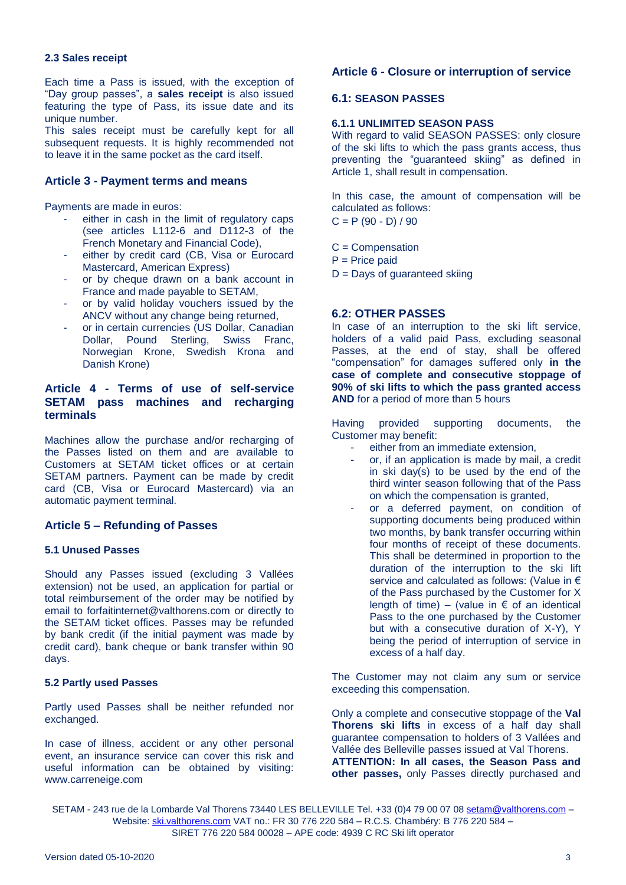#### **2.3 Sales receipt**

Each time a Pass is issued, with the exception of "Day group passes", a **sales receipt** is also issued featuring the type of Pass, its issue date and its unique number.

This sales receipt must be carefully kept for all subsequent requests. It is highly recommended not to leave it in the same pocket as the card itself.

## **Article 3 - Payment terms and means**

Payments are made in euros:

- either in cash in the limit of regulatory caps (see articles L112-6 and D112-3 of the French Monetary and Financial Code),
- either by credit card (CB, Visa or Eurocard Mastercard, American Express)
- or by cheque drawn on a bank account in France and made payable to SETAM,
- or by valid holiday vouchers issued by the ANCV without any change being returned,
- or in certain currencies (US Dollar, Canadian Dollar, Pound Sterling, Swiss Franc, Norwegian Krone, Swedish Krona and Danish Krone)

## **Article 4 - Terms of use of self-service SETAM pass machines and recharging terminals**

Machines allow the purchase and/or recharging of the Passes listed on them and are available to Customers at SETAM ticket offices or at certain SETAM partners. Payment can be made by credit card (CB, Visa or Eurocard Mastercard) via an automatic payment terminal.

## **Article 5 – Refunding of Passes**

#### **5.1 Unused Passes**

Should any Passes issued (excluding 3 Vallées extension) not be used, an application for partial or total reimbursement of the order may be notified by email to [forfaitinternet@valthorens.com](mailto:forfaitinternet@valthorens.com) or directly to the SETAM ticket offices. Passes may be refunded by bank credit (if the initial payment was made by credit card), bank cheque or bank transfer within 90 days.

#### **5.2 Partly used Passes**

Partly used Passes shall be neither refunded nor exchanged.

In case of illness, accident or any other personal event, an insurance service can cover this risk and useful information can be obtained by visiting: [www.carreneige.com](http://www.carreneige.com/)

## **Article 6 - Closure or interruption of service**

#### **6.1: SEASON PASSES**

## **6.1.1 UNLIMITED SEASON PASS**

With regard to valid SEASON PASSES: only closure of the ski lifts to which the pass grants access, thus preventing the "guaranteed skiing" as defined in Article 1, shall result in compensation.

In this case, the amount of compensation will be calculated as follows:

 $C = P (90 - D) / 90$ 

- C = Compensation
- $P = Price$  paid
- $D =$  Days of guaranteed skiing

#### **6.2: OTHER PASSES**

In case of an interruption to the ski lift service, holders of a valid paid Pass, excluding seasonal Passes, at the end of stay, shall be offered "compensation" for damages suffered only **in the case of complete and consecutive stoppage of 90% of ski lifts to which the pass granted access AND** for a period of more than 5 hours

Having provided supporting documents, the Customer may benefit:

- either from an immediate extension,
- or, if an application is made by mail, a credit in ski day(s) to be used by the end of the third winter season following that of the Pass on which the compensation is granted,
- or a deferred payment, on condition of supporting documents being produced within two months, by bank transfer occurring within four months of receipt of these documents. This shall be determined in proportion to the duration of the interruption to the ski lift service and calculated as follows: (Value in € of the Pass purchased by the Customer for X length of time) – (value in  $\epsilon$  of an identical Pass to the one purchased by the Customer but with a consecutive duration of X-Y), Y being the period of interruption of service in excess of a half day.

The Customer may not claim any sum or service exceeding this compensation.

Only a complete and consecutive stoppage of the **Val Thorens ski lifts** in excess of a half day shall guarantee compensation to holders of 3 Vallées and Vallée des Belleville passes issued at Val Thorens. **ATTENTION: In all cases, the Season Pass and other passes,** only Passes directly purchased and

SETAM - 243 rue de la Lombarde Val Thorens 73440 LES BELLEVILLE Tel. +33 (0)4 79 00 07 0[8 setam@valthorens.com](mailto:setam@valthorens.com) – Website: [ski.valthorens.com](http://www.valthorens.com/) VAT no.: FR 30 776 220 584 – R.C.S. Chambéry: B 776 220 584 – SIRET 776 220 584 00028 – APE code: 4939 C RC Ski lift operator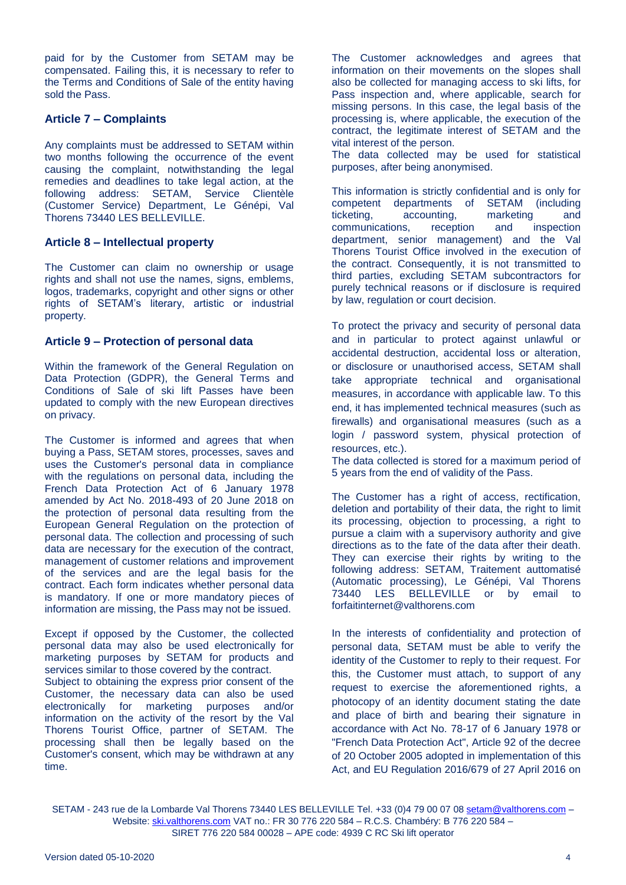paid for by the Customer from SETAM may be compensated. Failing this, it is necessary to refer to the Terms and Conditions of Sale of the entity having sold the Pass.

# **Article 7 – Complaints**

Any complaints must be addressed to SETAM within two months following the occurrence of the event causing the complaint, notwithstanding the legal remedies and deadlines to take legal action, at the following address: SETAM, Service Clientèle (Customer Service) Department, Le Génépi, Val Thorens 73440 LES BELLEVILLE.

## **Article 8 – Intellectual property**

The Customer can claim no ownership or usage rights and shall not use the names, signs, emblems, logos, trademarks, copyright and other signs or other rights of SETAM's literary, artistic or industrial property.

## **Article 9 – Protection of personal data**

Within the framework of the General Regulation on Data Protection (GDPR), the General Terms and Conditions of Sale of ski lift Passes have been updated to comply with the new European directives on privacy.

The Customer is informed and agrees that when buying a Pass, SETAM stores, processes, saves and uses the Customer's personal data in compliance with the regulations on personal data, including the French Data Protection Act of 6 January 1978 amended by Act No. 2018-493 of 20 June 2018 on the protection of personal data resulting from the European General Regulation on the protection of personal data. The collection and processing of such data are necessary for the execution of the contract, management of customer relations and improvement of the services and are the legal basis for the contract. Each form indicates whether personal data is mandatory. If one or more mandatory pieces of information are missing, the Pass may not be issued.

Except if opposed by the Customer, the collected personal data may also be used electronically for marketing purposes by SETAM for products and services similar to those covered by the contract.

Subject to obtaining the express prior consent of the Customer, the necessary data can also be used electronically for marketing purposes and/or information on the activity of the resort by the Val Thorens Tourist Office, partner of SETAM. The processing shall then be legally based on the Customer's consent, which may be withdrawn at any time.

The Customer acknowledges and agrees that information on their movements on the slopes shall also be collected for managing access to ski lifts, for Pass inspection and, where applicable, search for missing persons. In this case, the legal basis of the processing is, where applicable, the execution of the contract, the legitimate interest of SETAM and the vital interest of the person.

The data collected may be used for statistical purposes, after being anonymised.

This information is strictly confidential and is only for competent departments of SETAM (including ticketing, accounting, marketing and communications, reception and inspection department, senior management) and the Val Thorens Tourist Office involved in the execution of the contract. Consequently, it is not transmitted to third parties, excluding SETAM subcontractors for purely technical reasons or if disclosure is required by law, regulation or court decision.

To protect the privacy and security of personal data and in particular to protect against unlawful or accidental destruction, accidental loss or alteration, or disclosure or unauthorised access, SETAM shall take appropriate technical and organisational measures, in accordance with applicable law. To this end, it has implemented technical measures (such as firewalls) and organisational measures (such as a login / password system, physical protection of resources, etc.).

The data collected is stored for a maximum period of 5 years from the end of validity of the Pass.

The Customer has a right of access, rectification, deletion and portability of their data, the right to limit its processing, objection to processing, a right to pursue a claim with a supervisory authority and give directions as to the fate of the data after their death. They can exercise their rights by writing to the following address: SETAM, Traitement auttomatisé (Automatic processing), Le Génépi, Val Thorens **BELLEVILLE** or by email to forfaitinternet@valthorens.com

In the interests of confidentiality and protection of personal data, SETAM must be able to verify the identity of the Customer to reply to their request. For this, the Customer must attach, to support of any request to exercise the aforementioned rights, a photocopy of an identity document stating the date and place of birth and bearing their signature in accordance with Act No. 78-17 of 6 January 1978 or "French Data Protection Act", Article 92 of the decree of 20 October 2005 adopted in implementation of this Act, and EU Regulation 2016/679 of 27 April 2016 on

SETAM - 243 rue de la Lombarde Val Thorens 73440 LES BELLEVILLE Tel. +33 (0)4 79 00 07 0[8 setam@valthorens.com](mailto:setam@valthorens.com) Website: [ski.valthorens.com](http://www.valthorens.com/) VAT no.: FR 30 776 220 584 - R.C.S. Chambéry: B 776 220 584 -SIRET 776 220 584 00028 – APE code: 4939 C RC Ski lift operator